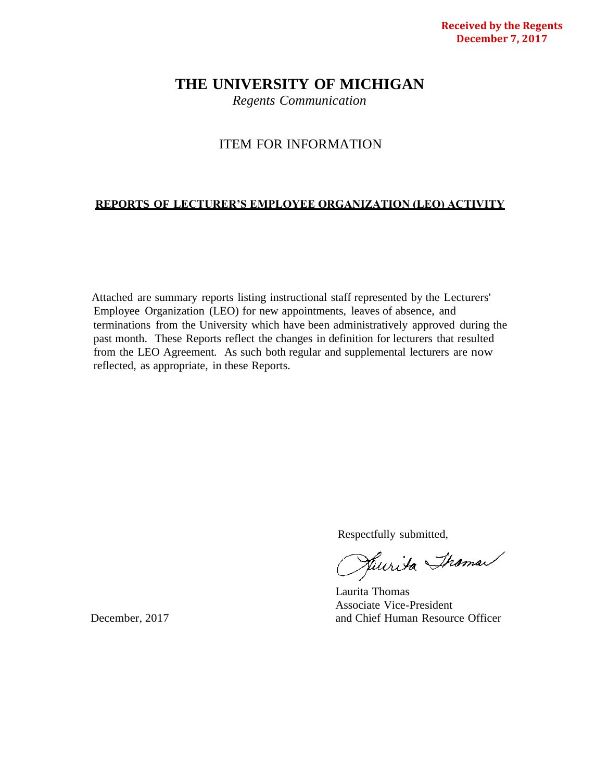# **THE UNIVERSITY OF MICHIGAN**

*Regents Communication*

# ITEM FOR INFORMATION

# **REPORTS OF LECTURER'S EMPLOYEE ORGANIZATION (LEO) ACTIVITY**

Attached are summary reports listing instructional staff represented by the Lecturers' Employee Organization (LEO) for new appointments, leaves of absence, and terminations from the University which have been administratively approved during the past month. These Reports reflect the changes in definition for lecturers that resulted from the LEO Agreement. As such both regular and supplemental lecturers are now reflected, as appropriate, in these Reports.

Respectfully submitted,<br>Respectfully to the Shaman

Laurita Thomas Associate Vice-President December, 2017 and Chief Human Resource Officer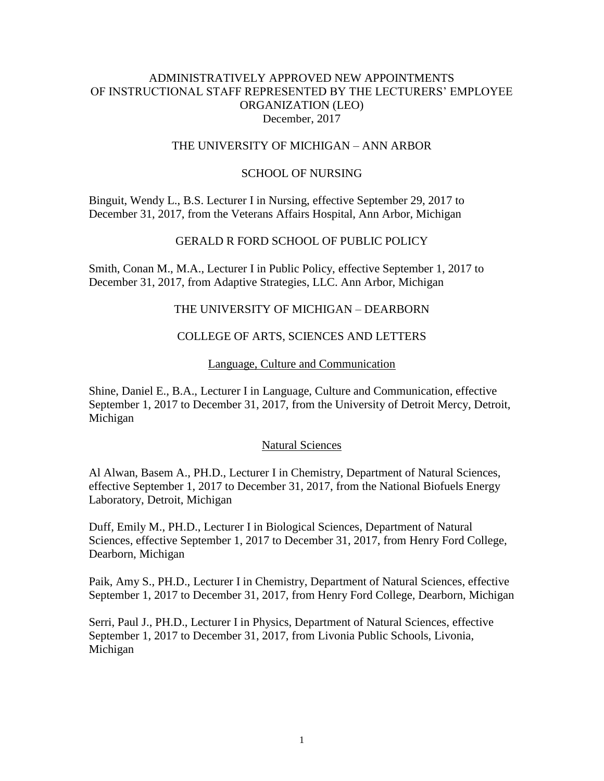# ADMINISTRATIVELY APPROVED NEW APPOINTMENTS OF INSTRUCTIONAL STAFF REPRESENTED BY THE LECTURERS' EMPLOYEE ORGANIZATION (LEO) December, 2017

# THE UNIVERSITY OF MICHIGAN – ANN ARBOR

# SCHOOL OF NURSING

Binguit, Wendy L., B.S. Lecturer I in Nursing, effective September 29, 2017 to December 31, 2017, from the Veterans Affairs Hospital, Ann Arbor, Michigan

#### GERALD R FORD SCHOOL OF PUBLIC POLICY

Smith, Conan M., M.A., Lecturer I in Public Policy, effective September 1, 2017 to December 31, 2017, from Adaptive Strategies, LLC. Ann Arbor, Michigan

# THE UNIVERSITY OF MICHIGAN – DEARBORN

# COLLEGE OF ARTS, SCIENCES AND LETTERS

#### Language, Culture and Communication

Shine, Daniel E., B.A., Lecturer I in Language, Culture and Communication, effective September 1, 2017 to December 31, 2017, from the University of Detroit Mercy, Detroit, Michigan

#### Natural Sciences

Al Alwan, Basem A., PH.D., Lecturer I in Chemistry, Department of Natural Sciences, effective September 1, 2017 to December 31, 2017, from the National Biofuels Energy Laboratory, Detroit, Michigan

Duff, Emily M., PH.D., Lecturer I in Biological Sciences, Department of Natural Sciences, effective September 1, 2017 to December 31, 2017, from Henry Ford College, Dearborn, Michigan

Paik, Amy S., PH.D., Lecturer I in Chemistry, Department of Natural Sciences, effective September 1, 2017 to December 31, 2017, from Henry Ford College, Dearborn, Michigan

Serri, Paul J., PH.D., Lecturer I in Physics, Department of Natural Sciences, effective September 1, 2017 to December 31, 2017, from Livonia Public Schools, Livonia, Michigan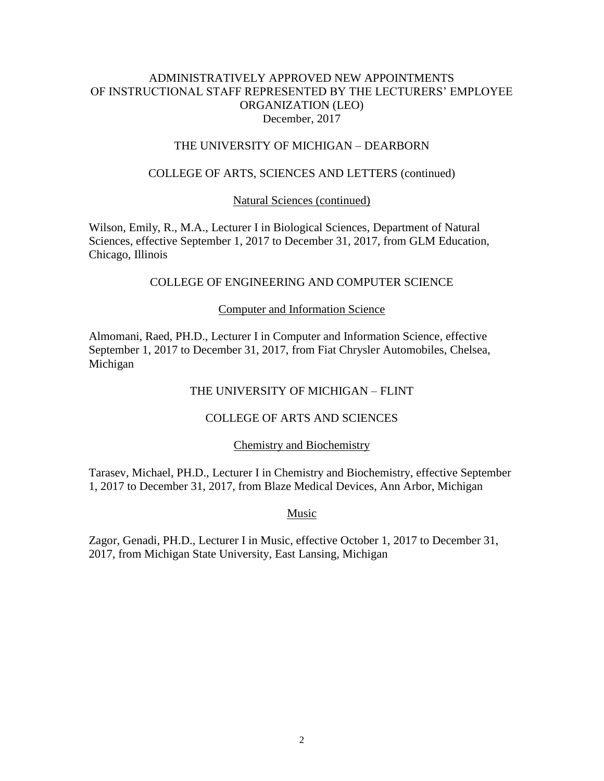# ADMINISTRATIVELY APPROVED NEW APPOINTMENTS OF INSTRUCTIONAL STAFF REPRESENTED BY THE LECTURERS' EMPLOYEE ORGANIZATION (LEO) December, 2017

# THE UNIVERSITY OF MICHIGAN – DEARBORN

# COLLEGE OF ARTS, SCIENCES AND LETTERS (continued)

## Natural Sciences (continued)

Wilson, Emily, R., M.A., Lecturer I in Biological Sciences, Department of Natural Sciences, effective September 1, 2017 to December 31, 2017, from GLM Education, Chicago, Illinois

# COLLEGE OF ENGINEERING AND COMPUTER SCIENCE

# Computer and Information Science

Almomani, Raed, PH.D., Lecturer I in Computer and Information Science, effective September 1, 2017 to December 31, 2017, from Fiat Chrysler Automobiles, Chelsea, Michigan

# THE UNIVERSITY OF MICHIGAN – FLINT

# COLLEGE OF ARTS AND SCIENCES

#### Chemistry and Biochemistry

Tarasev, Michael, PH.D., Lecturer I in Chemistry and Biochemistry, effective September 1, 2017 to December 31, 2017, from Blaze Medical Devices, Ann Arbor, Michigan

Music

Zagor, Genadi, PH.D., Lecturer I in Music, effective October 1, 2017 to December 31, 2017, from Michigan State University, East Lansing, Michigan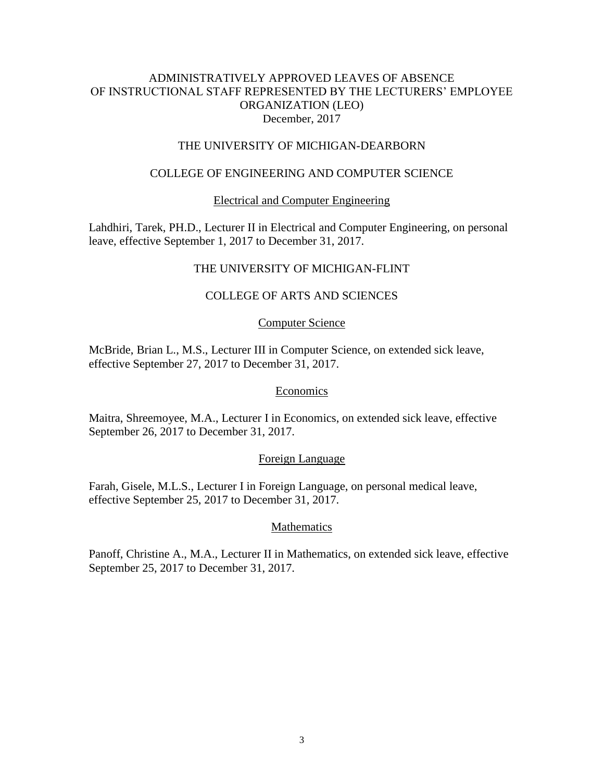# ADMINISTRATIVELY APPROVED LEAVES OF ABSENCE OF INSTRUCTIONAL STAFF REPRESENTED BY THE LECTURERS' EMPLOYEE ORGANIZATION (LEO) December, 2017

## THE UNIVERSITY OF MICHIGAN-DEARBORN

# COLLEGE OF ENGINEERING AND COMPUTER SCIENCE

# Electrical and Computer Engineering

Lahdhiri, Tarek, PH.D., Lecturer II in Electrical and Computer Engineering, on personal leave, effective September 1, 2017 to December 31, 2017.

# THE UNIVERSITY OF MICHIGAN-FLINT

# COLLEGE OF ARTS AND SCIENCES

#### Computer Science

McBride, Brian L., M.S., Lecturer III in Computer Science, on extended sick leave, effective September 27, 2017 to December 31, 2017.

#### Economics

Maitra, Shreemoyee, M.A., Lecturer I in Economics, on extended sick leave, effective September 26, 2017 to December 31, 2017.

#### Foreign Language

Farah, Gisele, M.L.S., Lecturer I in Foreign Language, on personal medical leave, effective September 25, 2017 to December 31, 2017.

### **Mathematics**

Panoff, Christine A., M.A., Lecturer II in Mathematics, on extended sick leave, effective September 25, 2017 to December 31, 2017.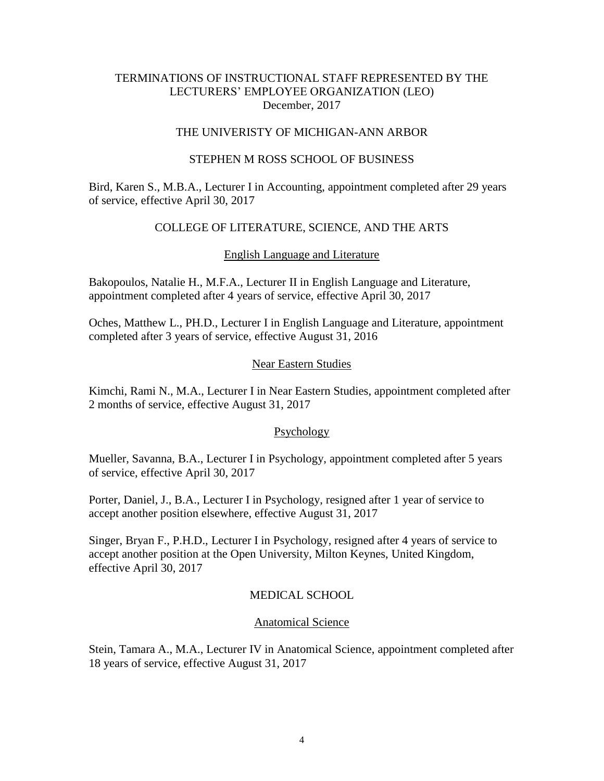# TERMINATIONS OF INSTRUCTIONAL STAFF REPRESENTED BY THE LECTURERS' EMPLOYEE ORGANIZATION (LEO) December, 2017

# THE UNIVERISTY OF MICHIGAN-ANN ARBOR

### STEPHEN M ROSS SCHOOL OF BUSINESS

Bird, Karen S., M.B.A., Lecturer I in Accounting, appointment completed after 29 years of service, effective April 30, 2017

# COLLEGE OF LITERATURE, SCIENCE, AND THE ARTS

# English Language and Literature

Bakopoulos, Natalie H., M.F.A., Lecturer II in English Language and Literature, appointment completed after 4 years of service, effective April 30, 2017

Oches, Matthew L., PH.D., Lecturer I in English Language and Literature, appointment completed after 3 years of service, effective August 31, 2016

# Near Eastern Studies

Kimchi, Rami N., M.A., Lecturer I in Near Eastern Studies, appointment completed after 2 months of service, effective August 31, 2017

# Psychology

Mueller, Savanna, B.A., Lecturer I in Psychology, appointment completed after 5 years of service, effective April 30, 2017

Porter, Daniel, J., B.A., Lecturer I in Psychology, resigned after 1 year of service to accept another position elsewhere, effective August 31, 2017

Singer, Bryan F., P.H.D., Lecturer I in Psychology, resigned after 4 years of service to accept another position at the Open University, Milton Keynes, United Kingdom, effective April 30, 2017

# MEDICAL SCHOOL

# Anatomical Science

Stein, Tamara A., M.A., Lecturer IV in Anatomical Science, appointment completed after 18 years of service, effective August 31, 2017